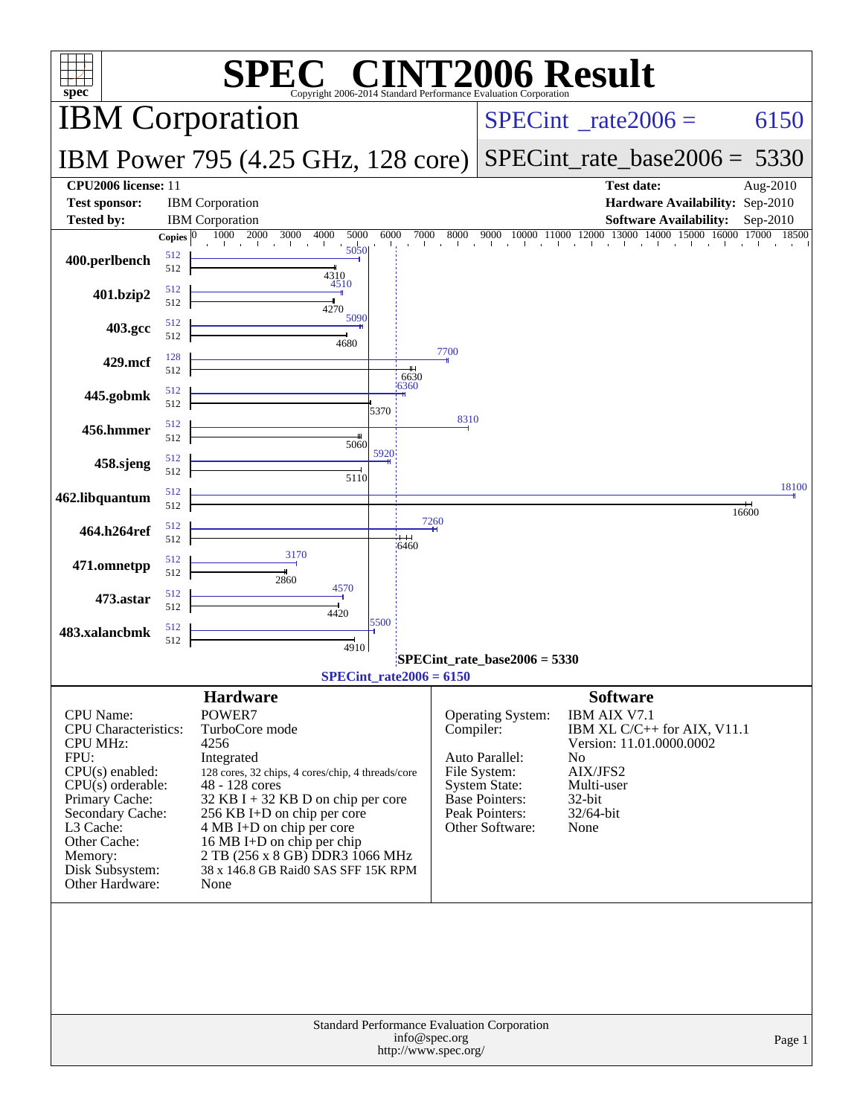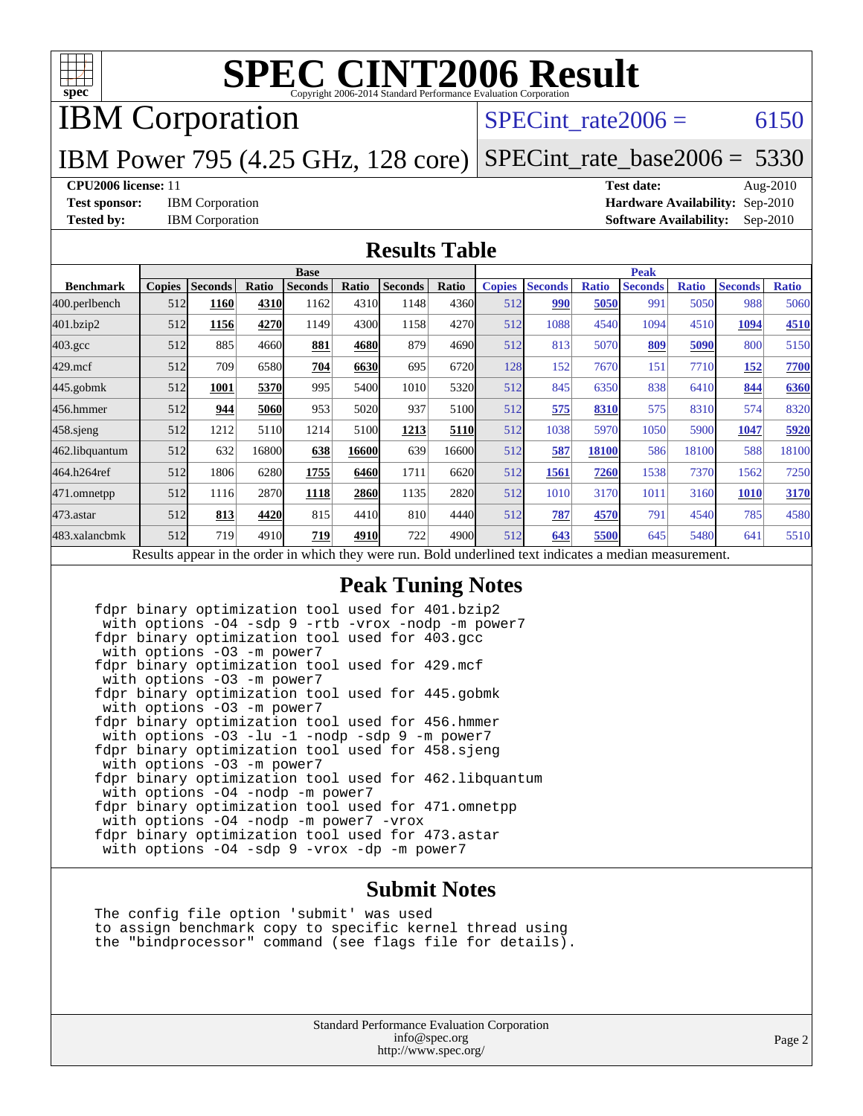

IBM Corporation

### SPECint rate $2006 = 6150$

#### IBM Power 795 (4.25 GHz, 128 core) [SPECint\\_rate\\_base2006 =](http://www.spec.org/auto/cpu2006/Docs/result-fields.html#SPECintratebase2006) 5330

**[CPU2006 license:](http://www.spec.org/auto/cpu2006/Docs/result-fields.html#CPU2006license)** 11 **[Test date:](http://www.spec.org/auto/cpu2006/Docs/result-fields.html#Testdate)** Aug-2010 **[Test sponsor:](http://www.spec.org/auto/cpu2006/Docs/result-fields.html#Testsponsor)** IBM Corporation **[Hardware Availability:](http://www.spec.org/auto/cpu2006/Docs/result-fields.html#HardwareAvailability)** Sep-2010 **[Tested by:](http://www.spec.org/auto/cpu2006/Docs/result-fields.html#Testedby)** IBM Corporation **[Software Availability:](http://www.spec.org/auto/cpu2006/Docs/result-fields.html#SoftwareAvailability)** Sep-2010

#### **[Results Table](http://www.spec.org/auto/cpu2006/Docs/result-fields.html#ResultsTable)**

|                                                                                                          | <b>Base</b>   |                |       |                |       |                | <b>Peak</b> |               |                |              |                |              |                |              |
|----------------------------------------------------------------------------------------------------------|---------------|----------------|-------|----------------|-------|----------------|-------------|---------------|----------------|--------------|----------------|--------------|----------------|--------------|
| <b>Benchmark</b>                                                                                         | <b>Copies</b> | <b>Seconds</b> | Ratio | <b>Seconds</b> | Ratio | <b>Seconds</b> | Ratio       | <b>Copies</b> | <b>Seconds</b> | <b>Ratio</b> | <b>Seconds</b> | <b>Ratio</b> | <b>Seconds</b> | <b>Ratio</b> |
| 400.perlbench                                                                                            | 512           | 1160           | 4310  | 1162           | 4310  | 1148           | 4360        | 512           | 990            | 5050         | 991            | 5050         | 988            | 5060         |
| 401.bzip2                                                                                                | 512           | 1156           | 4270  | 1149           | 4300  | 1158           | 4270        | 512           | 1088           | 4540         | 1094           | 4510         | 1094           | 4510         |
| $403.\mathrm{gcc}$                                                                                       | 512           | 885            | 4660  | 881            | 4680  | 879            | 4690        | 512           | 813            | 5070         | 809            | 5090         | 800            | 5150         |
| $429$ .mcf                                                                                               | 512           | 709            | 6580  | 704            | 6630  | 695            | 6720        | 128           | 152            | 7670         | 151            | 7710         | 152            | 7700         |
| $445$ .gobmk                                                                                             | 512           | 1001           | 5370  | 995            | 5400  | 1010           | 5320        | 512           | 845            | 6350         | 838            | 6410         | 844            | 6360         |
| 456.hmmer                                                                                                | 512           | 944            | 5060  | 953            | 5020  | 937            | 5100        | 512           | 575            | 8310         | 575            | 8310         | 574            | 8320         |
| $458$ .sjeng                                                                                             | 512           | 1212           | 5110  | 1214           | 5100  | 1213           | 5110        | 512           | 1038           | 5970         | 1050           | 5900         | 1047           | 5920         |
| 462.libquantum                                                                                           | 512           | 632            | 16800 | 638            | 16600 | 639            | 16600       | 512           | 587            | 18100        | 586            | 18100        | 588            | 18100        |
| 464.h264ref                                                                                              | 512           | 1806           | 6280  | 1755           | 6460  | 1711           | 6620        | 512           | 1561           | 7260         | 1538           | 7370         | 1562           | 7250         |
| 471.omnetpp                                                                                              | 512           | 1116           | 2870  | 1118           | 2860  | 1135           | 2820        | 512           | 1010           | 3170         | 1011           | 3160         | <b>1010</b>    | 3170         |
| $473$ . astar                                                                                            | 512           | 813            | 4420  | 815            | 4410  | 810            | 4440        | 512           | 787            | 4570         | 791            | 4540         | 785            | 4580         |
| 483.xalancbmk                                                                                            | 512           | 719            | 4910  | 719            | 4910  | 722            | 4900        | 512           | 643            | 5500         | 645            | 5480         | 641            | 5510         |
| Results appear in the order in which they were run. Bold underlined text indicates a median measurement. |               |                |       |                |       |                |             |               |                |              |                |              |                |              |

#### **[Peak Tuning Notes](http://www.spec.org/auto/cpu2006/Docs/result-fields.html#PeakTuningNotes)**

 fdpr binary optimization tool used for 401.bzip2 with options -O4 -sdp 9 -rtb -vrox -nodp -m power7 fdpr binary optimization tool used for 403.gcc with options -O3 -m power7 fdpr binary optimization tool used for 429.mcf with options -O3 -m power7 fdpr binary optimization tool used for 445.gobmk with options -O3 -m power7 fdpr binary optimization tool used for 456.hmmer with options -03 -lu -1 -nodp -sdp 9 -m power7 fdpr binary optimization tool used for 458.sjeng with options -O3 -m power7 fdpr binary optimization tool used for 462.libquantum with options -O4 -nodp -m power7 fdpr binary optimization tool used for 471.omnetpp with options -O4 -nodp -m power7 -vrox fdpr binary optimization tool used for 473.astar with options -04 -sdp 9 -vrox -dp -m power7

#### **[Submit Notes](http://www.spec.org/auto/cpu2006/Docs/result-fields.html#SubmitNotes)**

 The config file option 'submit' was used to assign benchmark copy to specific kernel thread using the "bindprocessor" command (see flags file for details).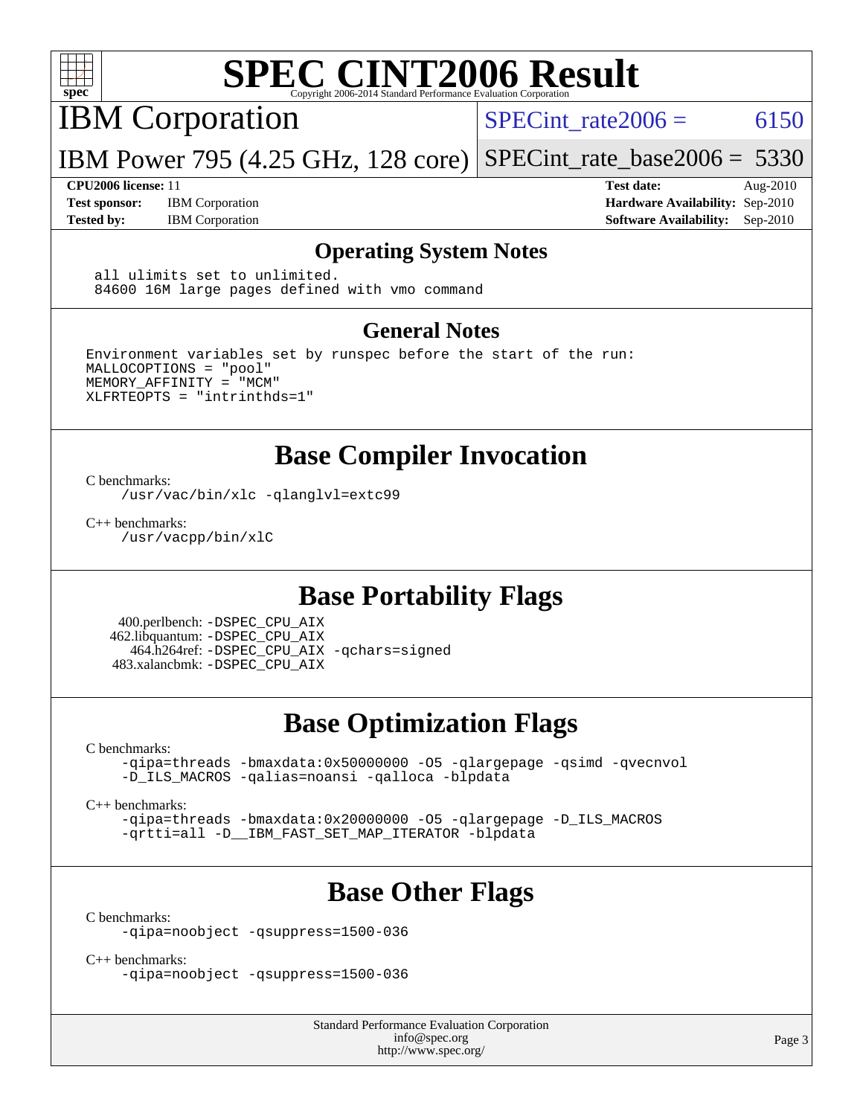

IBM Corporation

SPECint rate $2006 = 6150$ 

IBM Power 795 (4.25 GHz, 128 core) [SPECint\\_rate\\_base2006 =](http://www.spec.org/auto/cpu2006/Docs/result-fields.html#SPECintratebase2006) 5330

**[Test sponsor:](http://www.spec.org/auto/cpu2006/Docs/result-fields.html#Testsponsor)** IBM Corporation **[Hardware Availability:](http://www.spec.org/auto/cpu2006/Docs/result-fields.html#HardwareAvailability)** Sep-2010

**[CPU2006 license:](http://www.spec.org/auto/cpu2006/Docs/result-fields.html#CPU2006license)** 11 **[Test date:](http://www.spec.org/auto/cpu2006/Docs/result-fields.html#Testdate)** Aug-2010 [Tested by:](http://www.spec.org/auto/cpu2006/Docs/result-fields.html#Testedby) IBM Corporation **[Software Availability:](http://www.spec.org/auto/cpu2006/Docs/result-fields.html#SoftwareAvailability)** Sep-2010

#### **[Operating System Notes](http://www.spec.org/auto/cpu2006/Docs/result-fields.html#OperatingSystemNotes)**

 all ulimits set to unlimited. 84600 16M large pages defined with vmo command

#### **[General Notes](http://www.spec.org/auto/cpu2006/Docs/result-fields.html#GeneralNotes)**

Environment variables set by runspec before the start of the run: MALLOCOPTIONS = "pool" MEMORY\_AFFINITY = "MCM" XLFRTEOPTS = "intrinthds=1"

### **[Base Compiler Invocation](http://www.spec.org/auto/cpu2006/Docs/result-fields.html#BaseCompilerInvocation)**

[C benchmarks](http://www.spec.org/auto/cpu2006/Docs/result-fields.html#Cbenchmarks):

[/usr/vac/bin/xlc](http://www.spec.org/cpu2006/results/res2010q3/cpu2006-20100831-13154.flags.html#user_CCbase_xlc_65f0db84ba48bcd0ca5f8f08bd8e83b9) [-qlanglvl=extc99](http://www.spec.org/cpu2006/results/res2010q3/cpu2006-20100831-13154.flags.html#user_CCbase_F-qlanglvl:extc99)

[C++ benchmarks:](http://www.spec.org/auto/cpu2006/Docs/result-fields.html#CXXbenchmarks) [/usr/vacpp/bin/xlC](http://www.spec.org/cpu2006/results/res2010q3/cpu2006-20100831-13154.flags.html#user_CXXbase_xlC_71b0a4ef5ef679d5dfc4910648efff67)

### **[Base Portability Flags](http://www.spec.org/auto/cpu2006/Docs/result-fields.html#BasePortabilityFlags)**

 400.perlbench: [-DSPEC\\_CPU\\_AIX](http://www.spec.org/cpu2006/results/res2010q3/cpu2006-20100831-13154.flags.html#b400.perlbench_baseCPORTABILITY_DSPEC_CPU_AIX) 462.libquantum: [-DSPEC\\_CPU\\_AIX](http://www.spec.org/cpu2006/results/res2010q3/cpu2006-20100831-13154.flags.html#b462.libquantum_baseCPORTABILITY_DSPEC_CPU_AIX) 464.h264ref: [-DSPEC\\_CPU\\_AIX](http://www.spec.org/cpu2006/results/res2010q3/cpu2006-20100831-13154.flags.html#b464.h264ref_baseCPORTABILITY_DSPEC_CPU_AIX) [-qchars=signed](http://www.spec.org/cpu2006/results/res2010q3/cpu2006-20100831-13154.flags.html#user_baseCPORTABILITY464_h264ref_F-qchars:signed) 483.xalancbmk: [-DSPEC\\_CPU\\_AIX](http://www.spec.org/cpu2006/results/res2010q3/cpu2006-20100831-13154.flags.html#b483.xalancbmk_baseCXXPORTABILITY_DSPEC_CPU_AIX)

## **[Base Optimization Flags](http://www.spec.org/auto/cpu2006/Docs/result-fields.html#BaseOptimizationFlags)**

[C benchmarks](http://www.spec.org/auto/cpu2006/Docs/result-fields.html#Cbenchmarks):

[-qipa=threads](http://www.spec.org/cpu2006/results/res2010q3/cpu2006-20100831-13154.flags.html#user_CCbase_F-qipa:threads_603896b7ba2615a272e7bb50a99fbe27) [-bmaxdata:0x50000000](http://www.spec.org/cpu2006/results/res2010q3/cpu2006-20100831-13154.flags.html#user_CCbase_F-bmaxdata_e939c1e3ce194adb74b865c7e0f9aa8a) [-O5](http://www.spec.org/cpu2006/results/res2010q3/cpu2006-20100831-13154.flags.html#user_CCbase_F-O5_c247b43c34dbf7164d22e1dc7d84032c) [-qlargepage](http://www.spec.org/cpu2006/results/res2010q3/cpu2006-20100831-13154.flags.html#user_CCbase_F-qlargepage) [-qsimd](http://www.spec.org/cpu2006/results/res2010q3/cpu2006-20100831-13154.flags.html#user_CCbase_F-qsimd_a8e99c5325f711308b07d2b72634c9bd) [-qvecnvol](http://www.spec.org/cpu2006/results/res2010q3/cpu2006-20100831-13154.flags.html#user_CCbase_F-qvecnvol) [-D\\_ILS\\_MACROS](http://www.spec.org/cpu2006/results/res2010q3/cpu2006-20100831-13154.flags.html#user_CCbase_F-D_ILS_MACROS) [-qalias=noansi](http://www.spec.org/cpu2006/results/res2010q3/cpu2006-20100831-13154.flags.html#user_CCbase_F-qalias_d4651b1508cf3a15da259e82b527180c) [-qalloca](http://www.spec.org/cpu2006/results/res2010q3/cpu2006-20100831-13154.flags.html#user_CCbase_F-qalloca) [-blpdata](http://www.spec.org/cpu2006/results/res2010q3/cpu2006-20100831-13154.flags.html#user_CCbase_F-blpdata)

[C++ benchmarks:](http://www.spec.org/auto/cpu2006/Docs/result-fields.html#CXXbenchmarks)

[-qipa=threads](http://www.spec.org/cpu2006/results/res2010q3/cpu2006-20100831-13154.flags.html#user_CXXbase_F-qipa:threads_603896b7ba2615a272e7bb50a99fbe27) [-bmaxdata:0x20000000](http://www.spec.org/cpu2006/results/res2010q3/cpu2006-20100831-13154.flags.html#user_CXXbase_F-bmaxdata_d044a9072ff4d8b4577a1555c18c0756) [-O5](http://www.spec.org/cpu2006/results/res2010q3/cpu2006-20100831-13154.flags.html#user_CXXbase_F-O5_c247b43c34dbf7164d22e1dc7d84032c) [-qlargepage](http://www.spec.org/cpu2006/results/res2010q3/cpu2006-20100831-13154.flags.html#user_CXXbase_F-qlargepage) [-D\\_ILS\\_MACROS](http://www.spec.org/cpu2006/results/res2010q3/cpu2006-20100831-13154.flags.html#user_CXXbase_F-D_ILS_MACROS) [-qrtti=all](http://www.spec.org/cpu2006/results/res2010q3/cpu2006-20100831-13154.flags.html#user_CXXbase_F-qrtti:all) [-D\\_\\_IBM\\_FAST\\_SET\\_MAP\\_ITERATOR](http://www.spec.org/cpu2006/results/res2010q3/cpu2006-20100831-13154.flags.html#user_CXXbase_F-D__IBM_FAST_SET_MAP_ITERATOR) [-blpdata](http://www.spec.org/cpu2006/results/res2010q3/cpu2006-20100831-13154.flags.html#user_CXXbase_F-blpdata)

### **[Base Other Flags](http://www.spec.org/auto/cpu2006/Docs/result-fields.html#BaseOtherFlags)**

[C benchmarks](http://www.spec.org/auto/cpu2006/Docs/result-fields.html#Cbenchmarks):

[-qipa=noobject](http://www.spec.org/cpu2006/results/res2010q3/cpu2006-20100831-13154.flags.html#user_CCbase_F-qipa:noobject_31d1c31721dc68bbebcc4af4e4e5db81) [-qsuppress=1500-036](http://www.spec.org/cpu2006/results/res2010q3/cpu2006-20100831-13154.flags.html#user_CCbase_F-qsuppress:_a26be8fef57dc56862d3797b725f60c7)

[C++ benchmarks:](http://www.spec.org/auto/cpu2006/Docs/result-fields.html#CXXbenchmarks)

[-qipa=noobject](http://www.spec.org/cpu2006/results/res2010q3/cpu2006-20100831-13154.flags.html#user_CXXbase_F-qipa:noobject_31d1c31721dc68bbebcc4af4e4e5db81) [-qsuppress=1500-036](http://www.spec.org/cpu2006/results/res2010q3/cpu2006-20100831-13154.flags.html#user_CXXbase_F-qsuppress:_a26be8fef57dc56862d3797b725f60c7)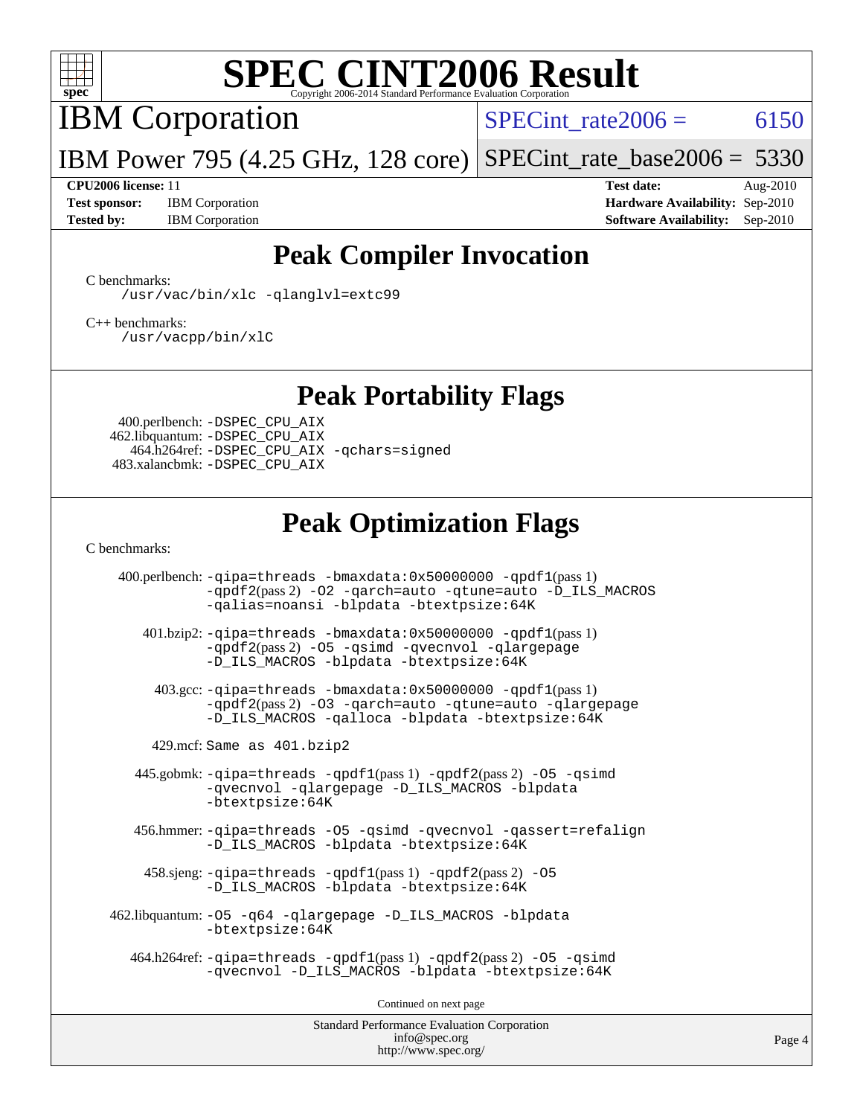

IBM Corporation

SPECint rate $2006 = 6150$ 

IBM Power 795 (4.25 GHz, 128 core) [SPECint\\_rate\\_base2006 =](http://www.spec.org/auto/cpu2006/Docs/result-fields.html#SPECintratebase2006) 5330

**[Test sponsor:](http://www.spec.org/auto/cpu2006/Docs/result-fields.html#Testsponsor)** IBM Corporation **[Hardware Availability:](http://www.spec.org/auto/cpu2006/Docs/result-fields.html#HardwareAvailability)** Sep-2010

**[CPU2006 license:](http://www.spec.org/auto/cpu2006/Docs/result-fields.html#CPU2006license)** 11 **[Test date:](http://www.spec.org/auto/cpu2006/Docs/result-fields.html#Testdate)** Aug-2010 **[Tested by:](http://www.spec.org/auto/cpu2006/Docs/result-fields.html#Testedby)** IBM Corporation **[Software Availability:](http://www.spec.org/auto/cpu2006/Docs/result-fields.html#SoftwareAvailability)** Sep-2010

## **[Peak Compiler Invocation](http://www.spec.org/auto/cpu2006/Docs/result-fields.html#PeakCompilerInvocation)**

[C benchmarks](http://www.spec.org/auto/cpu2006/Docs/result-fields.html#Cbenchmarks):

[/usr/vac/bin/xlc](http://www.spec.org/cpu2006/results/res2010q3/cpu2006-20100831-13154.flags.html#user_CCpeak_xlc_65f0db84ba48bcd0ca5f8f08bd8e83b9) [-qlanglvl=extc99](http://www.spec.org/cpu2006/results/res2010q3/cpu2006-20100831-13154.flags.html#user_CCpeak_F-qlanglvl:extc99)

[C++ benchmarks:](http://www.spec.org/auto/cpu2006/Docs/result-fields.html#CXXbenchmarks) [/usr/vacpp/bin/xlC](http://www.spec.org/cpu2006/results/res2010q3/cpu2006-20100831-13154.flags.html#user_CXXpeak_xlC_71b0a4ef5ef679d5dfc4910648efff67)

### **[Peak Portability Flags](http://www.spec.org/auto/cpu2006/Docs/result-fields.html#PeakPortabilityFlags)**

 400.perlbench: [-DSPEC\\_CPU\\_AIX](http://www.spec.org/cpu2006/results/res2010q3/cpu2006-20100831-13154.flags.html#b400.perlbench_peakCPORTABILITY_DSPEC_CPU_AIX) 462.libquantum: [-DSPEC\\_CPU\\_AIX](http://www.spec.org/cpu2006/results/res2010q3/cpu2006-20100831-13154.flags.html#b462.libquantum_peakCPORTABILITY_DSPEC_CPU_AIX) 464.h264ref: [-DSPEC\\_CPU\\_AIX](http://www.spec.org/cpu2006/results/res2010q3/cpu2006-20100831-13154.flags.html#b464.h264ref_peakCPORTABILITY_DSPEC_CPU_AIX) [-qchars=signed](http://www.spec.org/cpu2006/results/res2010q3/cpu2006-20100831-13154.flags.html#user_peakCPORTABILITY464_h264ref_F-qchars:signed) 483.xalancbmk: [-DSPEC\\_CPU\\_AIX](http://www.spec.org/cpu2006/results/res2010q3/cpu2006-20100831-13154.flags.html#b483.xalancbmk_peakCXXPORTABILITY_DSPEC_CPU_AIX)

## **[Peak Optimization Flags](http://www.spec.org/auto/cpu2006/Docs/result-fields.html#PeakOptimizationFlags)**

[C benchmarks](http://www.spec.org/auto/cpu2006/Docs/result-fields.html#Cbenchmarks):

400.perlbench:  $-qipa=threads -bmaxdata:0x50000000 -qpdf1(pass 1)$  $-qipa=threads -bmaxdata:0x50000000 -qpdf1(pass 1)$  $-qipa=threads -bmaxdata:0x50000000 -qpdf1(pass 1)$  $-qipa=threads -bmaxdata:0x50000000 -qpdf1(pass 1)$  $-qipa=threads -bmaxdata:0x50000000 -qpdf1(pass 1)$  $-qipa=threads -bmaxdata:0x50000000 -qpdf1(pass 1)$ [-qpdf2](http://www.spec.org/cpu2006/results/res2010q3/cpu2006-20100831-13154.flags.html#user_peakPASS2_CFLAGSPASS2_LDFLAGS400_perlbench_F-qpdf2)(pass 2) [-O2](http://www.spec.org/cpu2006/results/res2010q3/cpu2006-20100831-13154.flags.html#user_peakOPTIMIZE400_perlbench_F-O2) [-qarch=auto](http://www.spec.org/cpu2006/results/res2010q3/cpu2006-20100831-13154.flags.html#user_peakOPTIMIZE400_perlbench_F-qarch_da57dfb59486beae658049400584956b) [-qtune=auto](http://www.spec.org/cpu2006/results/res2010q3/cpu2006-20100831-13154.flags.html#user_peakOPTIMIZE400_perlbench_F-qtune_2e3c53070484f255b4b77752b917d502) [-D\\_ILS\\_MACROS](http://www.spec.org/cpu2006/results/res2010q3/cpu2006-20100831-13154.flags.html#user_peakCOPTIMIZE400_perlbench_F-D_ILS_MACROS) [-qalias=noansi](http://www.spec.org/cpu2006/results/res2010q3/cpu2006-20100831-13154.flags.html#user_peakCOPTIMIZE400_perlbench_F-qalias_d4651b1508cf3a15da259e82b527180c) [-blpdata](http://www.spec.org/cpu2006/results/res2010q3/cpu2006-20100831-13154.flags.html#user_peakEXTRA_LDFLAGS400_perlbench_F-blpdata) [-btextpsize:64K](http://www.spec.org/cpu2006/results/res2010q3/cpu2006-20100831-13154.flags.html#user_peakEXTRA_LDFLAGS400_perlbench_F-btextpsize_915b2570bf0baabb03f1065583f9faaf) 401.bzip2: [-qipa=threads](http://www.spec.org/cpu2006/results/res2010q3/cpu2006-20100831-13154.flags.html#user_peakLDCFLAGS401_bzip2_F-qipa:threads_603896b7ba2615a272e7bb50a99fbe27) [-bmaxdata:0x50000000](http://www.spec.org/cpu2006/results/res2010q3/cpu2006-20100831-13154.flags.html#user_peakLDCFLAGS401_bzip2_F-bmaxdata_e939c1e3ce194adb74b865c7e0f9aa8a) [-qpdf1](http://www.spec.org/cpu2006/results/res2010q3/cpu2006-20100831-13154.flags.html#user_peakPASS1_CFLAGSPASS1_LDFLAGS401_bzip2_F-qpdf1)(pass 1)

[-qpdf2](http://www.spec.org/cpu2006/results/res2010q3/cpu2006-20100831-13154.flags.html#user_peakPASS2_CFLAGSPASS2_LDFLAGS401_bzip2_F-qpdf2)(pass 2) [-O5](http://www.spec.org/cpu2006/results/res2010q3/cpu2006-20100831-13154.flags.html#user_peakOPTIMIZE401_bzip2_F-O5_c247b43c34dbf7164d22e1dc7d84032c) [-qsimd](http://www.spec.org/cpu2006/results/res2010q3/cpu2006-20100831-13154.flags.html#user_peakOPTIMIZE401_bzip2_F-qsimd_a8e99c5325f711308b07d2b72634c9bd) [-qvecnvol](http://www.spec.org/cpu2006/results/res2010q3/cpu2006-20100831-13154.flags.html#user_peakOPTIMIZE401_bzip2_F-qvecnvol) [-qlargepage](http://www.spec.org/cpu2006/results/res2010q3/cpu2006-20100831-13154.flags.html#user_peakOPTIMIZE401_bzip2_F-qlargepage) [-D\\_ILS\\_MACROS](http://www.spec.org/cpu2006/results/res2010q3/cpu2006-20100831-13154.flags.html#user_peakCOPTIMIZE401_bzip2_F-D_ILS_MACROS) [-blpdata](http://www.spec.org/cpu2006/results/res2010q3/cpu2006-20100831-13154.flags.html#user_peakEXTRA_LDFLAGS401_bzip2_F-blpdata) [-btextpsize:64K](http://www.spec.org/cpu2006/results/res2010q3/cpu2006-20100831-13154.flags.html#user_peakEXTRA_LDFLAGS401_bzip2_F-btextpsize_915b2570bf0baabb03f1065583f9faaf)

 403.gcc: [-qipa=threads](http://www.spec.org/cpu2006/results/res2010q3/cpu2006-20100831-13154.flags.html#user_peakLDCFLAGS403_gcc_F-qipa:threads_603896b7ba2615a272e7bb50a99fbe27) [-bmaxdata:0x50000000](http://www.spec.org/cpu2006/results/res2010q3/cpu2006-20100831-13154.flags.html#user_peakLDCFLAGS403_gcc_F-bmaxdata_e939c1e3ce194adb74b865c7e0f9aa8a) [-qpdf1](http://www.spec.org/cpu2006/results/res2010q3/cpu2006-20100831-13154.flags.html#user_peakPASS1_CFLAGSPASS1_LDFLAGS403_gcc_F-qpdf1)(pass 1) [-qpdf2](http://www.spec.org/cpu2006/results/res2010q3/cpu2006-20100831-13154.flags.html#user_peakPASS2_CFLAGSPASS2_LDFLAGS403_gcc_F-qpdf2)(pass 2) [-O3](http://www.spec.org/cpu2006/results/res2010q3/cpu2006-20100831-13154.flags.html#user_peakOPTIMIZE403_gcc_F-O3) [-qarch=auto](http://www.spec.org/cpu2006/results/res2010q3/cpu2006-20100831-13154.flags.html#user_peakOPTIMIZE403_gcc_F-qarch_da57dfb59486beae658049400584956b) [-qtune=auto](http://www.spec.org/cpu2006/results/res2010q3/cpu2006-20100831-13154.flags.html#user_peakOPTIMIZE403_gcc_F-qtune_2e3c53070484f255b4b77752b917d502) [-qlargepage](http://www.spec.org/cpu2006/results/res2010q3/cpu2006-20100831-13154.flags.html#user_peakOPTIMIZE403_gcc_F-qlargepage) [-D\\_ILS\\_MACROS](http://www.spec.org/cpu2006/results/res2010q3/cpu2006-20100831-13154.flags.html#user_peakCOPTIMIZE403_gcc_F-D_ILS_MACROS) [-qalloca](http://www.spec.org/cpu2006/results/res2010q3/cpu2006-20100831-13154.flags.html#user_peakCOPTIMIZE403_gcc_F-qalloca) [-blpdata](http://www.spec.org/cpu2006/results/res2010q3/cpu2006-20100831-13154.flags.html#user_peakEXTRA_LDFLAGS403_gcc_F-blpdata) [-btextpsize:64K](http://www.spec.org/cpu2006/results/res2010q3/cpu2006-20100831-13154.flags.html#user_peakEXTRA_LDFLAGS403_gcc_F-btextpsize_915b2570bf0baabb03f1065583f9faaf)

429.mcf: Same as 401.bzip2

 445.gobmk: [-qipa=threads](http://www.spec.org/cpu2006/results/res2010q3/cpu2006-20100831-13154.flags.html#user_peakLDCFLAGS445_gobmk_F-qipa:threads_603896b7ba2615a272e7bb50a99fbe27) [-qpdf1](http://www.spec.org/cpu2006/results/res2010q3/cpu2006-20100831-13154.flags.html#user_peakPASS1_CFLAGSPASS1_LDFLAGS445_gobmk_F-qpdf1)(pass 1) [-qpdf2](http://www.spec.org/cpu2006/results/res2010q3/cpu2006-20100831-13154.flags.html#user_peakPASS2_CFLAGSPASS2_LDFLAGS445_gobmk_F-qpdf2)(pass 2) [-O5](http://www.spec.org/cpu2006/results/res2010q3/cpu2006-20100831-13154.flags.html#user_peakOPTIMIZE445_gobmk_F-O5_c247b43c34dbf7164d22e1dc7d84032c) [-qsimd](http://www.spec.org/cpu2006/results/res2010q3/cpu2006-20100831-13154.flags.html#user_peakOPTIMIZE445_gobmk_F-qsimd_a8e99c5325f711308b07d2b72634c9bd) [-qvecnvol](http://www.spec.org/cpu2006/results/res2010q3/cpu2006-20100831-13154.flags.html#user_peakOPTIMIZE445_gobmk_F-qvecnvol) [-qlargepage](http://www.spec.org/cpu2006/results/res2010q3/cpu2006-20100831-13154.flags.html#user_peakOPTIMIZE445_gobmk_F-qlargepage) [-D\\_ILS\\_MACROS](http://www.spec.org/cpu2006/results/res2010q3/cpu2006-20100831-13154.flags.html#user_peakCOPTIMIZE445_gobmk_F-D_ILS_MACROS) [-blpdata](http://www.spec.org/cpu2006/results/res2010q3/cpu2006-20100831-13154.flags.html#user_peakEXTRA_LDFLAGS445_gobmk_F-blpdata) [-btextpsize:64K](http://www.spec.org/cpu2006/results/res2010q3/cpu2006-20100831-13154.flags.html#user_peakEXTRA_LDFLAGS445_gobmk_F-btextpsize_915b2570bf0baabb03f1065583f9faaf)

 456.hmmer: [-qipa=threads](http://www.spec.org/cpu2006/results/res2010q3/cpu2006-20100831-13154.flags.html#user_peakLDCFLAGS456_hmmer_F-qipa:threads_603896b7ba2615a272e7bb50a99fbe27) [-O5](http://www.spec.org/cpu2006/results/res2010q3/cpu2006-20100831-13154.flags.html#user_peakOPTIMIZE456_hmmer_F-O5_c247b43c34dbf7164d22e1dc7d84032c) [-qsimd](http://www.spec.org/cpu2006/results/res2010q3/cpu2006-20100831-13154.flags.html#user_peakOPTIMIZE456_hmmer_F-qsimd_a8e99c5325f711308b07d2b72634c9bd) [-qvecnvol](http://www.spec.org/cpu2006/results/res2010q3/cpu2006-20100831-13154.flags.html#user_peakOPTIMIZE456_hmmer_F-qvecnvol) [-qassert=refalign](http://www.spec.org/cpu2006/results/res2010q3/cpu2006-20100831-13154.flags.html#user_peakOPTIMIZE456_hmmer_F-qassert_3a98aa7c946e46b18a8aedd58e121a56) [-D\\_ILS\\_MACROS](http://www.spec.org/cpu2006/results/res2010q3/cpu2006-20100831-13154.flags.html#user_peakCOPTIMIZE456_hmmer_F-D_ILS_MACROS) [-blpdata](http://www.spec.org/cpu2006/results/res2010q3/cpu2006-20100831-13154.flags.html#user_peakEXTRA_LDFLAGS456_hmmer_F-blpdata) [-btextpsize:64K](http://www.spec.org/cpu2006/results/res2010q3/cpu2006-20100831-13154.flags.html#user_peakEXTRA_LDFLAGS456_hmmer_F-btextpsize_915b2570bf0baabb03f1065583f9faaf)

 458.sjeng: [-qipa=threads](http://www.spec.org/cpu2006/results/res2010q3/cpu2006-20100831-13154.flags.html#user_peakLDCFLAGS458_sjeng_F-qipa:threads_603896b7ba2615a272e7bb50a99fbe27) [-qpdf1](http://www.spec.org/cpu2006/results/res2010q3/cpu2006-20100831-13154.flags.html#user_peakPASS1_CFLAGSPASS1_LDFLAGS458_sjeng_F-qpdf1)(pass 1) [-qpdf2](http://www.spec.org/cpu2006/results/res2010q3/cpu2006-20100831-13154.flags.html#user_peakPASS2_CFLAGSPASS2_LDFLAGS458_sjeng_F-qpdf2)(pass 2) [-O5](http://www.spec.org/cpu2006/results/res2010q3/cpu2006-20100831-13154.flags.html#user_peakOPTIMIZE458_sjeng_F-O5_c247b43c34dbf7164d22e1dc7d84032c) [-D\\_ILS\\_MACROS](http://www.spec.org/cpu2006/results/res2010q3/cpu2006-20100831-13154.flags.html#user_peakCOPTIMIZE458_sjeng_F-D_ILS_MACROS) [-blpdata](http://www.spec.org/cpu2006/results/res2010q3/cpu2006-20100831-13154.flags.html#user_peakEXTRA_LDFLAGS458_sjeng_F-blpdata) [-btextpsize:64K](http://www.spec.org/cpu2006/results/res2010q3/cpu2006-20100831-13154.flags.html#user_peakEXTRA_LDFLAGS458_sjeng_F-btextpsize_915b2570bf0baabb03f1065583f9faaf)

 462.libquantum: [-O5](http://www.spec.org/cpu2006/results/res2010q3/cpu2006-20100831-13154.flags.html#user_peakOPTIMIZE462_libquantum_F-O5_c247b43c34dbf7164d22e1dc7d84032c) [-q64](http://www.spec.org/cpu2006/results/res2010q3/cpu2006-20100831-13154.flags.html#user_peakOPTIMIZE462_libquantum_F-q64_9628b1d4daa2edab256594f47440ad56) [-qlargepage](http://www.spec.org/cpu2006/results/res2010q3/cpu2006-20100831-13154.flags.html#user_peakOPTIMIZE462_libquantum_F-qlargepage) [-D\\_ILS\\_MACROS](http://www.spec.org/cpu2006/results/res2010q3/cpu2006-20100831-13154.flags.html#user_peakCOPTIMIZE462_libquantum_F-D_ILS_MACROS) [-blpdata](http://www.spec.org/cpu2006/results/res2010q3/cpu2006-20100831-13154.flags.html#user_peakEXTRA_LDFLAGS462_libquantum_F-blpdata) [-btextpsize:64K](http://www.spec.org/cpu2006/results/res2010q3/cpu2006-20100831-13154.flags.html#user_peakEXTRA_LDFLAGS462_libquantum_F-btextpsize_915b2570bf0baabb03f1065583f9faaf)

 $464 \text{ h}264 \text{ ref: } -q \text{ipa} = \text{threads } -q \text{ pdf1}(p \text{ass 1}) - q \text{ pdf2}(p \text{ass 2}) -05 - q \text{simd}$ [-qvecnvol](http://www.spec.org/cpu2006/results/res2010q3/cpu2006-20100831-13154.flags.html#user_peakOPTIMIZE464_h264ref_F-qvecnvol) [-D\\_ILS\\_MACROS](http://www.spec.org/cpu2006/results/res2010q3/cpu2006-20100831-13154.flags.html#user_peakCOPTIMIZE464_h264ref_F-D_ILS_MACROS) [-blpdata](http://www.spec.org/cpu2006/results/res2010q3/cpu2006-20100831-13154.flags.html#user_peakEXTRA_LDFLAGS464_h264ref_F-blpdata) [-btextpsize:64K](http://www.spec.org/cpu2006/results/res2010q3/cpu2006-20100831-13154.flags.html#user_peakEXTRA_LDFLAGS464_h264ref_F-btextpsize_915b2570bf0baabb03f1065583f9faaf)

Continued on next page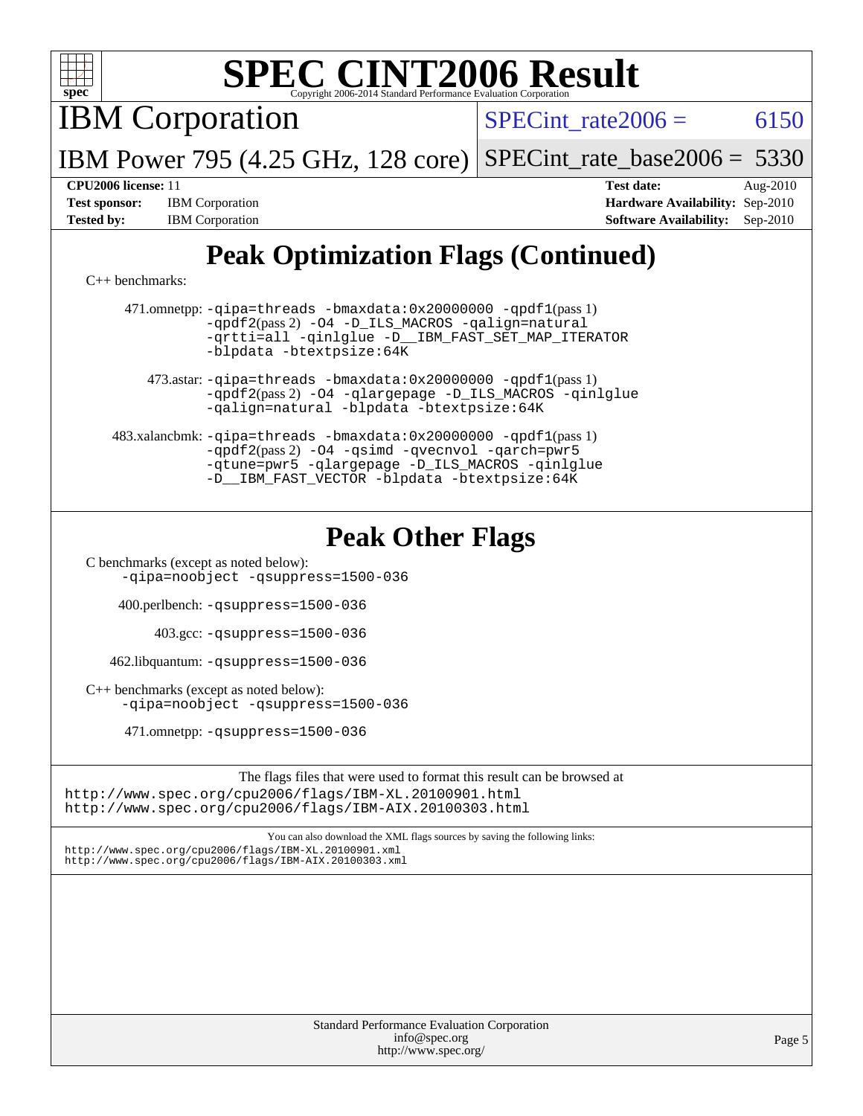

| <b>Standard Performance Evaluation Corporation</b> |
|----------------------------------------------------|
| info@spec.org                                      |
| http://www.spec.org/                               |